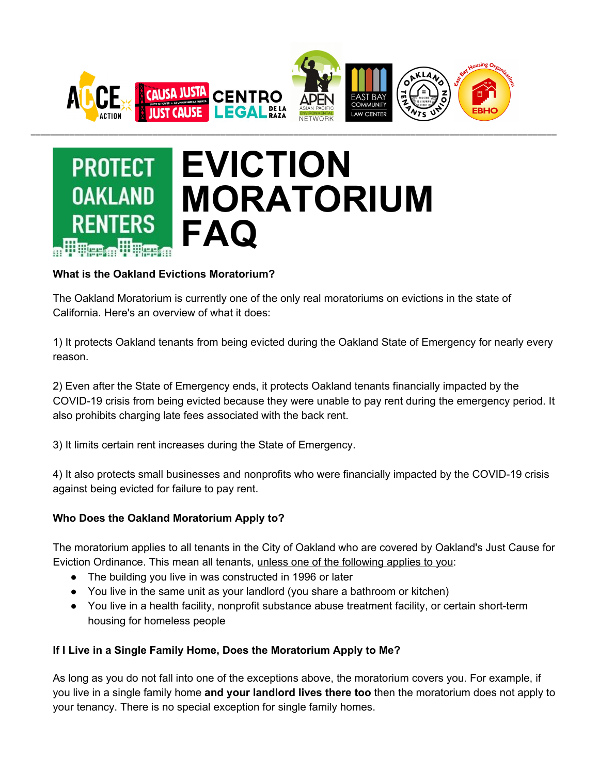



## **What is the Oakland Evictions Moratorium?**

The Oakland Moratorium is currently one of the only real moratoriums on evictions in the state of California. Here's an overview of what it does:

1) It protects Oakland tenants from being evicted during the Oakland State of Emergency for nearly every reason.

2) Even after the State of Emergency ends, it protects Oakland tenants financially impacted by the COVID-19 crisis from being evicted because they were unable to pay rent during the emergency period. It also prohibits charging late fees associated with the back rent.

3) It limits certain rent increases during the State of Emergency.

4) It also protects small businesses and nonprofits who were financially impacted by the COVID-19 crisis against being evicted for failure to pay rent.

# **Who Does the Oakland Moratorium Apply to?**

The moratorium applies to all tenants in the City of Oakland who are covered by Oakland's Just Cause for Eviction Ordinance. This mean all tenants, unless one of the following applies to you:

- The building you live in was constructed in 1996 or later
- You live in the same unit as your landlord (you share a bathroom or kitchen)
- You live in a health facility, nonprofit substance abuse treatment facility, or certain short-term housing for homeless people

### **If I Live in a Single Family Home, Does the Moratorium Apply to Me?**

As long as you do not fall into one of the exceptions above, the moratorium covers you. For example, if you live in a single family home **and your landlord lives there too** then the moratorium does not apply to your tenancy. There is no special exception for single family homes.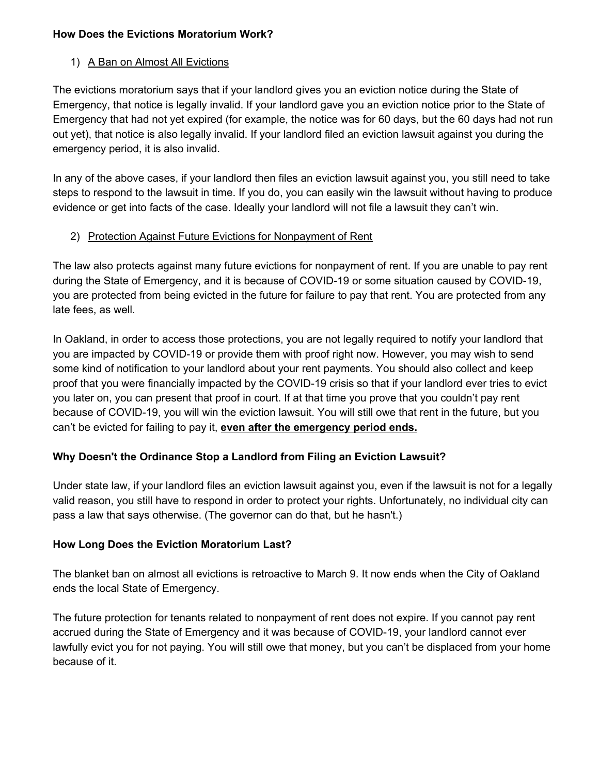#### **How Does the Evictions Moratorium Work?**

### 1) A Ban on Almost All Evictions

The evictions moratorium says that if your landlord gives you an eviction notice during the State of Emergency, that notice is legally invalid. If your landlord gave you an eviction notice prior to the State of Emergency that had not yet expired (for example, the notice was for 60 days, but the 60 days had not run out yet), that notice is also legally invalid. If your landlord filed an eviction lawsuit against you during the emergency period, it is also invalid.

In any of the above cases, if your landlord then files an eviction lawsuit against you, you still need to take steps to respond to the lawsuit in time. If you do, you can easily win the lawsuit without having to produce evidence or get into facts of the case. Ideally your landlord will not file a lawsuit they can't win.

### 2) Protection Against Future Evictions for Nonpayment of Rent

The law also protects against many future evictions for nonpayment of rent. If you are unable to pay rent during the State of Emergency, and it is because of COVID-19 or some situation caused by COVID-19, you are protected from being evicted in the future for failure to pay that rent. You are protected from any late fees, as well.

In Oakland, in order to access those protections, you are not legally required to notify your landlord that you are impacted by COVID-19 or provide them with proof right now. However, you may wish to send some kind of notification to your landlord about your rent payments. You should also collect and keep proof that you were financially impacted by the COVID-19 crisis so that if your landlord ever tries to evict you later on, you can present that proof in court. If at that time you prove that you couldn't pay rent because of COVID-19, you will win the eviction lawsuit. You will still owe that rent in the future, but you can't be evicted for failing to pay it, **even after the emergency period ends.**

# **Why Doesn't the Ordinance Stop a Landlord from Filing an Eviction Lawsuit?**

Under state law, if your landlord files an eviction lawsuit against you, even if the lawsuit is not for a legally valid reason, you still have to respond in order to protect your rights. Unfortunately, no individual city can pass a law that says otherwise. (The governor can do that, but he hasn't.)

### **How Long Does the Eviction Moratorium Last?**

The blanket ban on almost all evictions is retroactive to March 9. It now ends when the City of Oakland ends the local State of Emergency.

The future protection for tenants related to nonpayment of rent does not expire. If you cannot pay rent accrued during the State of Emergency and it was because of COVID-19, your landlord cannot ever lawfully evict you for not paying. You will still owe that money, but you can't be displaced from your home because of it.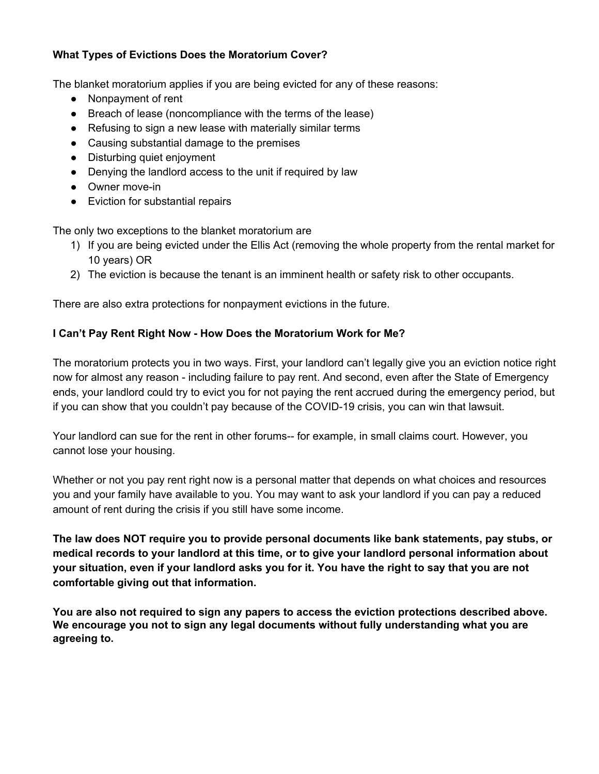### **What Types of Evictions Does the Moratorium Cover?**

The blanket moratorium applies if you are being evicted for any of these reasons:

- Nonpayment of rent
- Breach of lease (noncompliance with the terms of the lease)
- Refusing to sign a new lease with materially similar terms
- Causing substantial damage to the premises
- Disturbing quiet enjoyment
- Denying the landlord access to the unit if required by law
- Owner move-in
- Eviction for substantial repairs

The only two exceptions to the blanket moratorium are

- 1) If you are being evicted under the Ellis Act (removing the whole property from the rental market for 10 years) OR
- 2) The eviction is because the tenant is an imminent health or safety risk to other occupants.

There are also extra protections for nonpayment evictions in the future.

### **I Can't Pay Rent Right Now - How Does the Moratorium Work for Me?**

The moratorium protects you in two ways. First, your landlord can't legally give you an eviction notice right now for almost any reason - including failure to pay rent. And second, even after the State of Emergency ends, your landlord could try to evict you for not paying the rent accrued during the emergency period, but if you can show that you couldn't pay because of the COVID-19 crisis, you can win that lawsuit.

Your landlord can sue for the rent in other forums-- for example, in small claims court. However, you cannot lose your housing.

Whether or not you pay rent right now is a personal matter that depends on what choices and resources you and your family have available to you. You may want to ask your landlord if you can pay a reduced amount of rent during the crisis if you still have some income.

**The law does NOT require you to provide personal documents like bank statements, pay stubs, or medical records to your landlord at this time, or to give your landlord personal information about** your situation, even if your landlord asks you for it. You have the right to say that you are not **comfortable giving out that information.**

**You are also not required to sign any papers to access the eviction protections described above. We encourage you not to sign any legal documents without fully understanding what you are agreeing to.**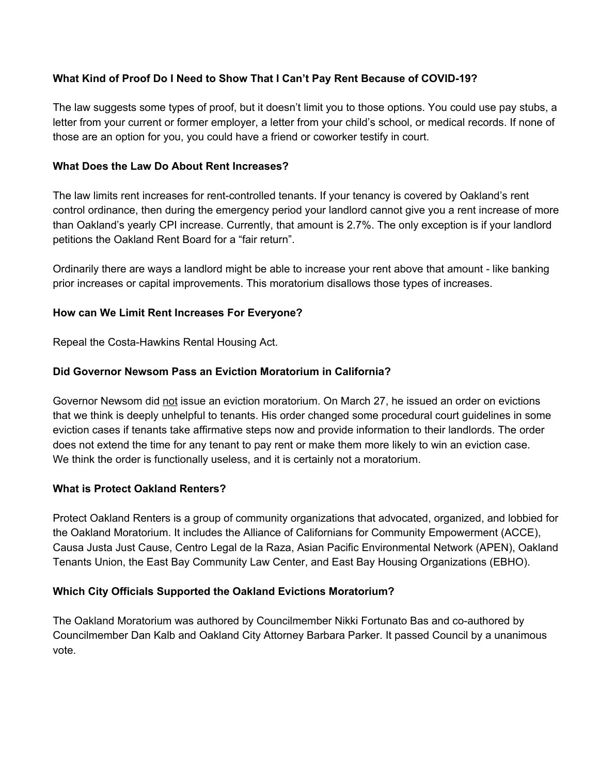### **What Kind of Proof Do I Need to Show That I Can't Pay Rent Because of COVID-19?**

The law suggests some types of proof, but it doesn't limit you to those options. You could use pay stubs, a letter from your current or former employer, a letter from your child's school, or medical records. If none of those are an option for you, you could have a friend or coworker testify in court.

#### **What Does the Law Do About Rent Increases?**

The law limits rent increases for rent-controlled tenants. If your tenancy is covered by Oakland's rent control ordinance, then during the emergency period your landlord cannot give you a rent increase of more than Oakland's yearly CPI increase. Currently, that amount is 2.7%. The only exception is if your landlord petitions the Oakland Rent Board for a "fair return".

Ordinarily there are ways a landlord might be able to increase your rent above that amount - like banking prior increases or capital improvements. This moratorium disallows those types of increases.

#### **How can We Limit Rent Increases For Everyone?**

Repeal the Costa-Hawkins Rental Housing Act.

### **Did Governor Newsom Pass an Eviction Moratorium in California?**

Governor Newsom did not issue an eviction moratorium. On March 27, he issued an order on evictions that we think is deeply unhelpful to tenants. His order changed some procedural court guidelines in some eviction cases if tenants take affirmative steps now and provide information to their landlords. The order does not extend the time for any tenant to pay rent or make them more likely to win an eviction case. We think the order is functionally useless, and it is certainly not a moratorium.

#### **What is Protect Oakland Renters?**

Protect Oakland Renters is a group of community organizations that advocated, organized, and lobbied for the Oakland Moratorium. It includes the Alliance of Californians for Community Empowerment (ACCE), Causa Justa Just Cause, Centro Legal de la Raza, Asian Pacific Environmental Network (APEN), Oakland Tenants Union, the East Bay Community Law Center, and East Bay Housing Organizations (EBHO).

### **Which City Officials Supported the Oakland Evictions Moratorium?**

The Oakland Moratorium was authored by Councilmember Nikki Fortunato Bas and co-authored by Councilmember Dan Kalb and Oakland City Attorney Barbara Parker. It passed Council by a unanimous vote.